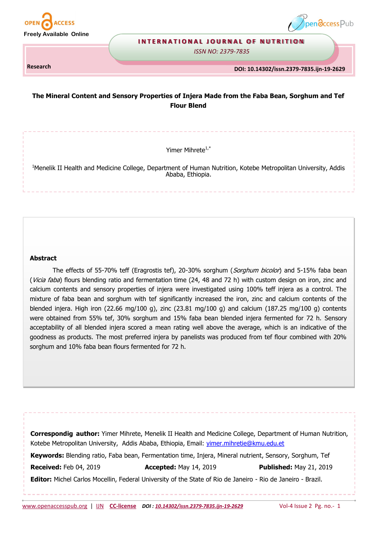



#### **INTERNATIONAL JOURNAL OF NUTRITION**

*ISSN NO: 2379-7835* 

**Research** 

**DOI: 10.14302/issn.2379-7835.ijn-19-2629**

# **The Mineral Content and Sensory Properties of Injera Made from the Faba Bean, Sorghum and Tef Flour Blend**

Yimer Mihrete $1,$ \*

<sup>1</sup>Menelik II Health and Medicine College, Department of Human Nutrition, Kotebe Metropolitan University, Addis Ababa, Ethiopia.

#### **Abstract**

The effects of 55-70% teff (Eragrostis tef), 20-30% sorghum (Sorghum bicolor) and 5-15% faba bean (Vicia faba) flours blending ratio and fermentation time (24, 48 and 72 h) with custom design on iron, zinc and calcium contents and sensory properties of injera were investigated using 100% teff injera as a control. The mixture of faba bean and sorghum with tef significantly increased the iron, zinc and calcium contents of the blended injera. High iron (22.66 mg/100 g), zinc (23.81 mg/100 g) and calcium (187.25 mg/100 g) contents were obtained from 55% tef, 30% sorghum and 15% faba bean blended injera fermented for 72 h. Sensory acceptability of all blended injera scored a mean rating well above the average, which is an indicative of the goodness as products. The most preferred injera by panelists was produced from tef flour combined with 20% sorghum and 10% faba bean flours fermented for 72 h.

**Correspondig author:** Yimer Mihrete, Menelik II Health and Medicine College, Department of Human Nutrition, Kotebe Metropolitan University, Addis Ababa, Ethiopia, Email: yimer.mihretie@kmu.edu.et **Keywords:** Blending ratio, Faba bean, Fermentation time, Injera, Mineral nutrient, Sensory, Sorghum, Tef **Received:** Feb 04, 2019 **Accepted:** May 14, 2019 **Published:** May 21, 2019 **Editor:** Michel Carlos Mocellin, Federal University of the State of Rio de Janeiro - Rio de Janeiro - Brazil.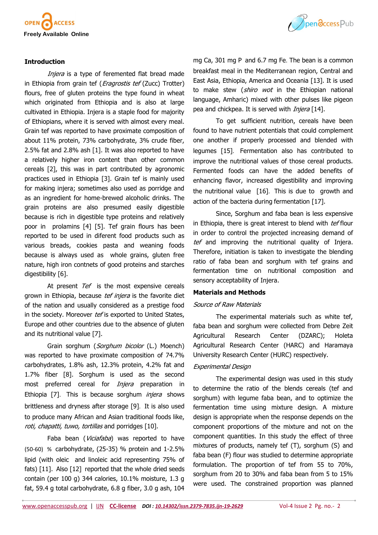

### **Introduction**

Injera is a type of feremented flat bread made in Ethiopia from grain tef (*Eragrostis tef* (Zucc) Trotter) flours, free of gluten proteins the type found in wheat which originated from Ethiopia and is also at large cultivated in Ethiopia. Injera is a staple food for majority of Ethiopians, where it is served with almost every meal. Grain tef was reported to have proximate composition of about 11% protein, 73% carbohydrate, 3% crude fiber, 2.5% fat and 2.8% ash [1]. It was also reported to have a relatively higher iron content than other common cereals [2], this was in part contributed by agronomic practices used in Ethiopia [3]. Grain tef is mainly used for making injera; sometimes also used as porridge and as an ingredient for home-brewed alcoholic drinks. The grain proteins are also presumed easily digestible because is rich in digestible type proteins and relatively poor in prolamins [4] [5]. Tef grain flours has been reported to be used in diferent food products such as various breads, cookies pasta and weaning foods because is always used as whole grains, gluten free nature, high iron contnets of good proteins and starches digestibility [6].

At present Tef is the most expensive cereals grown in Ethiopia, because tef injera is the favorite diet of the nation and usually considered as a prestige food in the society. Moreover tef is exported to United States, Europe and other countries due to the absence of gluten and its nutritional value [7].

Grain sorghum (Sorghum bicolor (L.) Moench) was reported to have proximate composition of 74.7% carbohydrates, 1.8% ash, 12.3% protein, 4.2% fat and 1.7% fiber [8]. Sorghum is used as the second most preferred cereal for *Injera* preparation in Ethiopia [7]. This is because sorghum *injera* shows brittleness and dryness after storage [9]. It is also used to produce many African and Asian traditional foods like, roti, chapatti, tuwo, tortillas and porridges [10].

Faba bean (Viciafaba) was reported to have (50-60) % carbohydrate, (25-35) % protein and 1-2.5% lipid (with oleic and linoleic acid representing 75% of fats) [11]. Also [12] reported that the whole dried seeds contain (per 100 g) 344 calories, 10.1% moisture, 1.3 g fat, 59.4 g total carbohydrate, 6.8 g fiber, 3.0 g ash, 104



mg Ca, 301 mg P and 6.7 mg Fe. The bean is a common breakfast meal in the Mediterranean region, Central and East Asia, Ethiopia, America and Oceania [13]. It is used to make stew (shiro wot in the Ethiopian national language, Amharic) mixed with other pulses like pigeon pea and chickpea. It is served with *Injera* [14].

To get sufficient nutrition, cereals have been found to have nutrient potentials that could complement one another if properly processed and blended with legumes [15]. Fermentation also has contributed to improve the nutritional values of those cereal products. Fermented foods can have the added benefits of enhancing flavor, increased digestibility and improving the nutritional value [16]. This is due to growth and action of the bacteria during fermentation [17].

Since, Sorghum and faba bean is less expensive in Ethiopia, there is great interest to blend with tef flour in order to control the projected increasing demand of tef and improving the nutritional quality of Injera. Therefore, initiation is taken to investigate the blending ratio of faba bean and sorghum with tef grains and fermentation time on nutritional composition and sensory acceptability of Injera.

#### **Materials and Methods**

#### Source of Raw Materials

The experimental materials such as white tef, faba bean and sorghum were collected from Debre Zeit Agricultural Research Center (DZARC); Holeta Agricultural Research Center (HARC) and Haramaya University Research Center (HURC) respectively.

#### Experimental Design

The experimental design was used in this study to determine the ratio of the blends cereals (tef and sorghum) with legume faba bean, and to optimize the fermentation time using mixture design. A mixture design is appropriate when the response depends on the component proportions of the mixture and not on the component quantities. In this study the effect of three mixtures of products, namely tef (T), sorghum (S) and faba bean (F) flour was studied to determine appropriate formulation. The proportion of tef from 55 to 70%, sorghum from 20 to 30% and faba bean from 5 to 15% were used. The constrained proportion was planned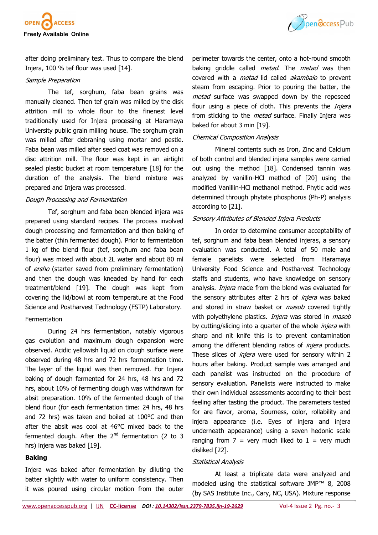



after doing preliminary test. Thus to compare the blend Injera, 100 % tef flour was used [14].

#### Sample Preparation

The tef, sorghum, faba bean grains was manually cleaned. Then tef grain was milled by the disk attrition mill to whole flour to the finenest level traditionally used for Injera processing at Haramaya University public grain milling house. The sorghum grain was milled after debraning using mortar and pestle. Faba bean was milled after seed coat was removed on a disc attrition mill. The flour was kept in an airtight sealed plastic bucket at room temperature [18] for the duration of the analysis. The blend mixture was prepared and Injera was processed.

### Dough Processing and Fermentation

Tef, sorghum and faba bean blended injera was prepared using standard recipes. The process involved dough processing and fermentation and then baking of the batter (thin fermented dough). Prior to fermentation 1 kg of the blend flour (tef, sorghum and faba bean flour) was mixed with about 2L water and about 80 ml of ersho (starter saved from preliminary fermentation) and then the dough was kneaded by hand for each treatment/blend [19]. The dough was kept from covering the lid/bowl at room temperature at the Food Science and Postharvest Technology (FSTP) Laboratory.

### Fermentation

During 24 hrs fermentation, notably vigorous gas evolution and maximum dough expansion were observed. Acidic yellowish liquid on dough surface were observed during 48 hrs and 72 hrs fermentation time. The layer of the liquid was then removed. For Injera baking of dough fermented for 24 hrs, 48 hrs and 72 hrs, about 10% of fermenting dough was withdrawn for absit preparation. 10% of the fermented dough of the blend flour (for each fermentation time: 24 hrs, 48 hrs and 72 hrs) was taken and boiled at 100°C and then after the absit was cool at 46°C mixed back to the fermented dough. After the  $2<sup>nd</sup>$  fermentation (2 to 3 hrs) injera was baked [19].

### **Baking**

Injera was baked after fermentation by diluting the batter slightly with water to uniform consistency. Then it was poured using circular motion from the outer perimeter towards the center, onto a hot-round smooth baking griddle called *metad*. The *metad* was then covered with a *metad* lid called *akambalo* to prevent steam from escaping. Prior to pouring the batter, the metad surface was swapped down by the repeseed flour using a piece of cloth. This prevents the *Injera* from sticking to the *metad* surface. Finally Injera was baked for about 3 min [19].

### Chemical Composition Analysis

Mineral contents such as Iron, Zinc and Calcium of both control and blended injera samples were carried out using the method [18]. Condensed tannin was analyzed by vanillin-HCl method of [20] using the modified Vanillin-HCl methanol method. Phytic acid was determined through phytate phosphorus (Ph-P) analysis according to [21].

## Sensory Attributes of Blended Injera Products

In order to determine consumer acceptability of tef, sorghum and faba bean blended injeras, a sensory evaluation was conducted. A total of 50 male and female panelists were selected from Haramaya University Food Science and Postharvest Technology staffs and students, who have knowledge on sensory analysis. *Injera* made from the blend was evaluated for the sensory attributes after 2 hrs of *injera* was baked and stored in straw basket or *masob* covered tightly with polyethylene plastics. *Injera* was stored in *masob* by cutting/slicing into a quarter of the whole *injera* with sharp and nit knife this is to prevent contamination among the different blending ratios of *injera* products. These slices of *injera* were used for sensory within 2 hours after baking. Product sample was arranged and each panelist was instructed on the procedure of sensory evaluation. Panelists were instructed to make their own individual assessments according to their best feeling after tasting the product. The parameters tested for are flavor, aroma, Sourness, color, rollability and injera appearance (i.e. Eyes of injera and injera underneath appearance) using a seven hedonic scale ranging from  $7 =$  very much liked to  $1 =$  very much disliked [22].

### Statistical Analysis

At least a triplicate data were analyzed and modeled using the statistical software JMP™ 8, 2008 (by SAS Institute Inc., Cary, NC, USA). Mixture response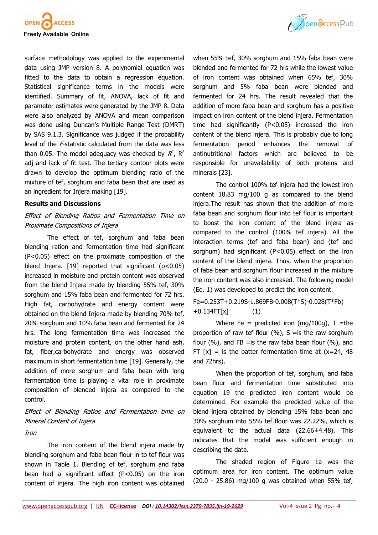

surface methodology was applied to the experimental data using JMP version 8. A polynomial equation was fitted to the data to obtain a regression equation. Statistical significance terms in the models were identified. Summary of fit, ANOVA, lack of fit and parameter estimates were generated by the JMP 8. Data were also analyzed by ANOVA and mean comparison was done using Duncan's Multiple Range Test (DMRT) by SAS 9.1.3. Significance was judged if the probability level of the F-statistic calculated from the data was less than 0.05. The model adequacy was checked by  $R^2$ , R<sup>2</sup> adj and lack of fit test. The tertiary contour plots were drawn to develop the optimum blending ratio of the mixture of tef, sorghum and faba bean that are used as an ingredient for Injera making [19].

#### **Results and Discussions**

## Effect of Blending Ratios and Fermentation Time on Proximate Compositions of Injera

The effect of tef, sorghum and faba bean blending ration and fermentation time had significant (P<0.05) effect on the proximate composition of the blend Injera.  $[19]$  reported that significant  $(p<0.05)$ increased in moisture and protein content was observed from the blend Injera made by blending 55% tef, 30% sorghum and 15% faba bean and fermented for 72 hrs. High fat, carbohydrate and energy content were obtained on the blend Injera made by blending 70% tef, 20% sorghum and 10% faba bean and fermented for 24 hrs. The long fermentation time was increased the moisture and protein content, on the other hand ash, fat, fiber,carbohydrate and energy was observed maximum in short fermentation time [19]. Generally, the addition of more sorghum and faba bean with long fermentation time is playing a vital role in proximate composition of blended injera as compared to the control.

Effect of Blending Ratios and Fermentation time on Mineral Content of Injera

Iron

The iron content of the blend injera made by blending sorghum and faba bean flour in to tef flour was shown in Table 1. Blending of tef, sorghum and faba bean had a significant effect (P<0.05) on the iron content of injera. The high iron content was obtained when 55% tef, 30% sorghum and 15% faba bean were blended and fermented for 72 hrs while the lowest value of iron content was obtained when 65% tef, 30% sorghum and 5% faba bean were blended and fermented for 24 hrs. The result revealed that the addition of more faba bean and sorghum has a positive impact on iron content of the blend injera. Fermentation time had significantly (P<0.05) increased the iron content of the blend injera. This is probably due to long fermentation period enhances the removal of antinutritional factors which are believed to be responsible for unavailability of both proteins and minerals [23].

The control 100% tef injera had the lowest iron content 18.83 mg/100 g as compared to the blend injera.The result has shown that the addition of more faba bean and sorghum flour into tef flour is important to boost the iron content of the blend injera as compared to the control (100% tef injera). All the interaction terms (tef and faba bean) and (tef and sorghum) had significant (P<0.05) effect on the iron content of the blend injera. Thus, when the proportion of faba bean and sorghum flour increased in the mixture the iron content was also increased. The following model (Eq. 1) was developed to predict the iron content.

Fe=0.253T+0.219S-1.869FB-0.008(T\*S)-0.028(T\*Fb) +0.134FT[x] (1)

Where Fe = predicted iron (mg/100g),  $T =$ the proportion of raw tef flour  $(\%)$ , S = is the raw sorghum flour  $(\%)$ , and FB = is the raw faba bean flour  $(\%)$ , and FT  $[x] =$  is the batter fermentation time at  $(x=24, 48)$ and 72hrs).

When the proportion of tef, sorghum, and faba bean flour and fermentation time substituted into equation 19 the predicted iron content would be determined. For example the predicted value of the blend injera obtained by blending 15% faba bean and 30% sorghum into 55% tef flour was 22.22%, which is equivalent to the actual data (22.66±4.48). This indicates that the model was sufficient enough in describing the data.

The shaded region of Figure 1a was the optimum area for iron content. The optimum value (20.0 - 25.86) mg/100 g was obtained when 55% tef,

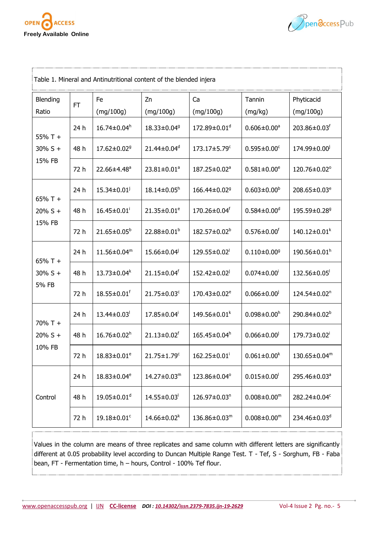



| Table 1. Mineral and Antinutritional content of the blended injera |           |                               |                               |                                |                               |                                |
|--------------------------------------------------------------------|-----------|-------------------------------|-------------------------------|--------------------------------|-------------------------------|--------------------------------|
| Blending<br>Ratio                                                  | <b>FT</b> | Fe<br>(mg/100g)               | Zn<br>(mg/100g)               | Ca<br>(mg/100g)                | Tannin<br>(mg/kg)             | Phyticacid<br>(mg/100g)        |
| $55%T +$<br>$30\% S +$<br>15% FB                                   | 24 h      | $16.74 \pm 0.04^h$            | 18.33±0.04 <sup>9</sup>       | 172.89±0.01 <sup>d</sup>       | $0.606 \pm 0.00$ <sup>a</sup> | 203.86±0.03f                   |
|                                                                    | 48 h      | 17.62±0.02 <sup>9</sup>       | 21.44±0.04 <sup>d</sup>       | 173.17±5.79 <sup>c</sup>       | $0.595 \pm 0.00$ <sup>c</sup> | $174.99 \pm 0.00$ <sup>j</sup> |
|                                                                    | 72 h      | 22.66±4.48 <sup>a</sup>       | 23.81±0.01 <sup>a</sup>       | 187.25±0.02 <sup>a</sup>       | $0.581 \pm 0.00^e$            | 120.76±0.02°                   |
| $65%T +$<br>$20\% S +$<br>15% FB                                   | 24 h      | $15.34 \pm 0.01$ <sup>j</sup> | 18.14±0.05 <sup>h</sup>       | 166.44±0.02 <sup>9</sup>       | $0.603 \pm 0.00^b$            | $208.65 \pm 0.03^e$            |
|                                                                    | 48 h      | $16.45 \pm 0.01$ <sup>i</sup> | $21.35 \pm 0.01^e$            | 170.26±0.04f                   | $0.584 \pm 0.00$ <sup>d</sup> | 195.59±0.28 <sup>9</sup>       |
|                                                                    | 72 h      | $21.65 \pm 0.05^b$            | 22.88±0.01 <sup>b</sup>       | $182.57 \pm 0.02^b$            | $0.576 \pm 0.00$ <sup>f</sup> | $140.12 \pm 0.01^k$            |
| $65%T +$<br>$30\%$ S +<br>5% FB                                    | 24 h      | $11.56 \pm 0.04^m$            | $15.66 \pm 0.04$              | $129.55 \pm 0.02$ <sup>1</sup> | $0.110 \pm 0.00$ <sup>g</sup> | $190.56 \pm 0.01^h$            |
|                                                                    | 48 h      | $13.73 \pm 0.04^k$            | 21.15±0.04f                   | 152.42±0.02 <sup>j</sup>       | $0.074 \pm 0.00$ <sup>i</sup> | $132.56 \pm 0.05$              |
|                                                                    | 72 h      | $18.55 \pm 0.01$ <sup>f</sup> | 21.75±0.03 <sup>c</sup>       | $170.43 \pm 0.02^e$            | $0.066 \pm 0.00^{j}$          | $124.54 \pm 0.02$ <sup>n</sup> |
| $70\%$ T +<br>$20\% S +$<br>10% FB                                 | 24 h      | $13.44 \pm 0.03$ <sup>1</sup> | $17.85 \pm 0.04$              | $149.56 \pm 0.01^k$            | $0.098 \pm 0.00^h$            | 290.84 $\pm$ 0.02 <sup>b</sup> |
|                                                                    | 48 h      | $16.76 \pm 0.02$ <sup>h</sup> | $21.13 \pm 0.02$ <sup>f</sup> | $165.45 \pm 0.04^h$            | $0.066 \pm 0.00^{j}$          | $179.73 \pm 0.02$ <sup>i</sup> |
|                                                                    | 72 h      | $18.83 \pm 0.01^e$            | $21.75 \pm 1.79$ <sup>c</sup> | $162.25 \pm 0.01$ <sup>i</sup> | $0.061 \pm 0.00^k$            | 130.65±0.04m                   |
| Control                                                            | 24 h      | $18.83 \pm 0.04^e$            | $14.27 \pm 0.03$ <sup>m</sup> | 123.86±0.04°                   | $0.015 \pm 0.00$              | 295.46±0.03 <sup>a</sup>       |
|                                                                    | 48 h      | $19.05 \pm 0.01$ <sup>d</sup> | $14.55 \pm 0.03$              | $126.97 \pm 0.03$ <sup>n</sup> | $0.008 \pm 0.00^m$            | 282.24±0.04°                   |
|                                                                    | 72 h      | 19.18±0.01 <sup>c</sup>       | $14.66 \pm 0.02^k$            | 136.86±0.03m                   | $0.008 \pm 0.00^m$            | 234.46 $\pm$ 0.03 <sup>d</sup> |

Values in the column are means of three replicates and same column with different letters are significantly different at 0.05 probability level according to Duncan Multiple Range Test. T - Tef, S - Sorghum, FB - Faba bean, FT - Fermentation time, h – hours, Control - 100% Tef flour.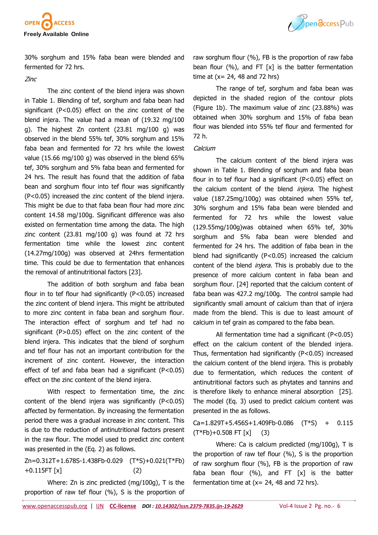



30% sorghum and 15% faba bean were blended and fermented for 72 hrs.

### Zinc

The zinc content of the blend injera was shown in Table 1. Blending of tef, sorghum and faba bean had significant (P<0.05) effect on the zinc content of the blend injera. The value had a mean of (19.32 mg/100 g). The highest Zn content (23.81 mg/100 g) was observed in the blend 55% tef, 30% sorghum and 15% faba bean and fermented for 72 hrs while the lowest value (15.66 mg/100 g) was observed in the blend 65% tef, 30% sorghum and 5% faba bean and fermented for 24 hrs. The result has found that the addition of faba bean and sorghum flour into tef flour was significantly (P<0.05) increased the zinc content of the blend injera. This might be due to that faba bean flour had more zinc content 14.58 mg/100g. Significant difference was also existed on fermentation time among the data. The high zinc content (23.81 mg/100 g) was found at 72 hrs fermentation time while the lowest zinc content (14.27mg/100g) was observed at 24hrs fermentation time. This could be due to fermentation that enhances the removal of antinutritional factors [23].

The addition of both sorghum and faba bean flour in to tef flour had significantly (P<0.05) increased the zinc content of blend injera. This might be attributed to more zinc content in faba bean and sorghum flour. The interaction effect of sorghum and tef had no significant (P>0.05) effect on the zinc content of the blend injera. This indicates that the blend of sorghum and tef flour has not an important contribution for the increment of zinc content. However, the interaction effect of tef and faba bean had a significant (P<0.05) effect on the zinc content of the blend injera.

With respect to fermentation time, the zinc content of the blend injera was significantly  $(P<0.05)$ affected by fermentation. By increasing the fermentation period there was a gradual increase in zinc content. This is due to the reduction of antinutritional factors present in the raw flour. The model used to predict zinc content was presented in the (Eq. 2) as follows.

Zn=0.312T+1.678S-1.438Fb-0.029 (T\*S)+0.021(T\*Fb) +0.115FT [x] (2)

Where: Zn is zinc predicted (mg/100g), T is the proportion of raw tef flour (%), S is the proportion of raw sorghum flour (%), FB is the proportion of raw faba bean flour  $(\%)$ , and FT [x] is the batter fermentation time at  $(x= 24, 48$  and 72 hrs)

The range of tef, sorghum and faba bean was depicted in the shaded region of the contour plots (Figure 1b). The maximum value of zinc (23.88%) was obtained when 30% sorghum and 15% of faba bean flour was blended into 55% tef flour and fermented for 72 h.

### **Calcium**

The calcium content of the blend injera was shown in Table 1. Blending of sorghum and faba bean flour in to tef flour had a significant (P<0.05) effect on the calcium content of the blend *injera*. The highest value (187.25mg/100g) was obtained when 55% tef, 30% sorghum and 15% faba bean were blended and fermented for 72 hrs while the lowest value (129.55mg/100g)was obtained when 65% tef, 30% sorghum and 5% faba bean were blended and fermented for 24 hrs. The addition of faba bean in the blend had significantly (P<0.05) increased the calcium content of the blend injera. This is probably due to the presence of more calcium content in faba bean and sorghum flour. [24] reported that the calcium content of faba bean was 427.2 mg/100g. The control sample had significantly small amount of calcium than that of injera made from the blend. This is due to least amount of calcium in tef grain as compared to the faba bean.

All fermentation time had a significant (P<0.05) effect on the calcium content of the blended injera. Thus, fermentation had significantly (P<0.05) increased the calcium content of the blend injera. This is probably due to fermentation, which reduces the content of antinutritional factors such as phytates and tannins and is therefore likely to enhance mineral absorption [25]. The model (Eq. 3) used to predict calcium content was presented in the as follows.

 $Ca = 1.829T + 5.456S + 1.409Fb - 0.086$   $(T*S) + 0.115$  $(T*Fb)+0.508$  FT  $[x]$  (3)

Where: Ca is calcium predicted (mg/100g), T is the proportion of raw tef flour (%), S is the proportion of raw sorghum flour (%), FB is the proportion of raw faba bean flour  $(\%)$ , and FT  $[x]$  is the batter fermentation time at  $(x= 24, 48$  and 72 hrs).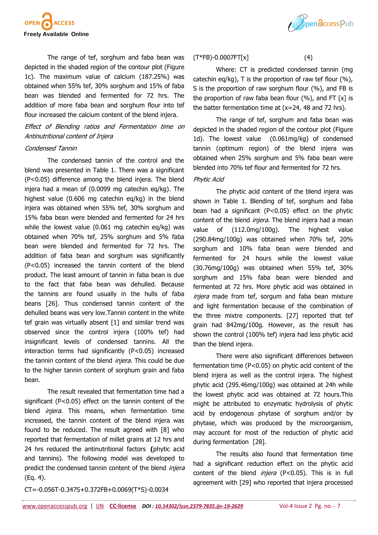

The range of tef, sorghum and faba bean was depicted in the shaded region of the contour plot (Figure 1c). The maximum value of calcium (187.25%) was obtained when 55% tef, 30% sorghum and 15% of faba bean was blended and fermented for 72 hrs. The addition of more faba bean and sorghum flour into tef flour increased the calcium content of the blend injera.

## Effect of Blending ratios and Fermentation time on Antinutritional content of Injera

#### Condensed Tannin

The condensed tannin of the control and the blend was presented in Table 1. There was a significant (P<0.05) difference among the blend injera. The blend injera had a mean of (0.0099 mg catechin eq/kg). The highest value (0.606 mg catechin eq/kg) in the blend injera was obtained when 55% tef, 30% sorghum and 15% faba bean were blended and fermented for 24 hrs while the lowest value (0.061 mg catechin eq/kg) was obtained when 70% tef, 25% sorghum and 5% faba bean were blended and fermented for 72 hrs. The addition of faba bean and sorghum was significantly (P<0.05) increased the tannin content of the blend product. The least amount of tannin in faba bean is due to the fact that faba bean was dehulled. Because the tannins are found usually in the hulls of faba beans [26]. Thus condensed tannin content of the dehulled beans was very low.Tannin content in the white tef grain was virtually absent [1] and similar trend was observed since the control injera (100% tef) had insignificant levels of condensed tannins. All the interaction terms had significantly (P<0.05) increased the tannin content of the blend *injera*. This could be due to the higher tannin content of sorghum grain and faba bean.

The result revealed that fermentation time had a significant (P<0.05) effect on the tannin content of the blend *injera*. This means, when fermentation time increased, the tannin content of the blend injera was found to be reduced. The result agreed with [8] who reported that fermentation of millet grains at 12 hrs and 24 hrs reduced the antinutritional factors **(**[phytic acid](http://www.scialert.net/asci/result.php?searchin=Keywords&cat=&ascicat=ALL&Submit=Search&keyword=phytic+acid)  and tannins). The following model was developed to predict the condensed tannin content of the blend injera (Eq. 4).



### $(T*FB)-0.0007FT[x]$  (4)

Where: CT is predicted condensed tannin (mg catechin eq/kg), T is the proportion of raw tef flour (%), S is the proportion of raw sorghum flour (%), and FB is the proportion of raw faba bean flour  $(\%)$ , and FT [x] is the batter fermentation time at (x=24, 48 and 72 hrs).

The range of tef, sorghum and faba bean was depicted in the shaded region of the contour plot (Figure 1d). The lowest value (0.061mg/kg) of condensed tannin (optimum region) of the blend injera was obtained when 25% sorghum and 5% faba bean were blended into 70% tef flour and fermented for 72 hrs.

## Phytic Acid

The phytic acid content of the blend injera was shown in Table 1. Blending of tef, sorghum and faba bean had a significant (P<0.05) effect on the phytic content of the blend *injera*. The blend injera had a mean value of (112.0mg/100g). The highest value (290.84mg/100g) was obtained when 70% tef, 20% sorghum and 10% faba bean were blended and fermented for 24 hours while the lowest value (30.76mg/100g) was obtained when 55% tef, 30% sorghum and 15% faba bean were blended and fermented at 72 hrs. More phytic acid was obtained in injera made from tef, sorgum and faba bean mixture and light fermentation because of the combination of the three mixtre components. [27] reported that tef grain had 842mg/100g. However, as the result has shown the control (100% tef) injera had less phytic acid than the blend injera.

There were also significant differences between fermentation time (P<0.05) on phytic acid content of the blend injera as well as the control injera. The highest phytic acid (295.46mg/100g) was obtained at 24h while the lowest phytic acid was obtained at 72 hours.This might be attributed to enzymatic hydrolysis of phytic acid by endogenous phytase of sorghum and/or by phytase, which was produced by the microorganism, may account for most of the reduction of phytic acid during fermentation [28].

The results also found that fermentation time had a significant reduction effect on the phytic acid content of the blend *injera* (P<0.05). This is in full agreement with [29] who reported that injera processed

CT=-0.056T-0.347S+0.372FB+0.0069(T\*S)-0.0034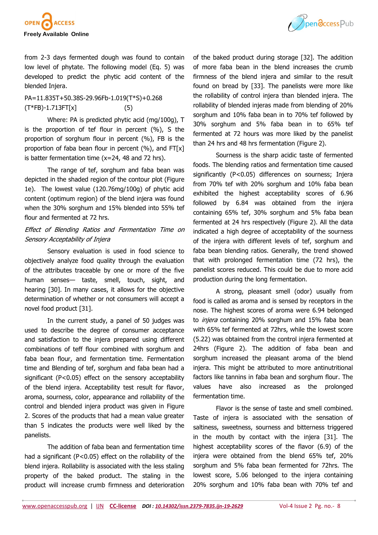

from 2-3 days fermented dough was found to contain low level of phytate. The following model (Eq. 5) was developed to predict the phytic acid content of the blended Injera.

PA=11.835T+50.38S-29.96Fb-1.019(T\*S)+0.268 (T\*FB)-1.713FT[x] (5)

Where: PA is predicted phytic acid (mg/100g), T is the proportion of tef flour in percent (%), S the proportion of sorghum flour in percent (%), FB is the proportion of faba bean flour in percent  $(\%)$ , and FT[x] is batter fermentation time (x=24, 48 and 72 hrs).

The range of tef, sorghum and faba bean was depicted in the shaded region of the contour plot (Figure 1e). The lowest value (120.76mg/100g) of phytic acid content (optimum region) of the blend injera was found when the 30% sorghum and 15% blended into 55% tef flour and fermented at 72 hrs.

# Effect of Blending Ratios and Fermentation Time on Sensory Acceptability of Injera

Sensory evaluation is used in food science to objectively analyze food quality through the evaluation of the attributes traceable by one or more of the five human senses— taste, smell, touch, sight, and hearing [30]. In many cases, it allows for the objective determination of whether or not consumers will accept a novel food product [31].

In the current study, a panel of 50 judges was used to describe the degree of consumer acceptance and satisfaction to the injera prepared using different combinations of teff flour combined with sorghum and faba bean flour, and fermentation time. Fermentation time and Blending of tef, sorghum and faba bean had a significant (P<0.05) effect on the sensory acceptability of the blend injera. Acceptability test result for flavor, aroma, sourness, color, appearance and rollability of the control and blended injera product was given in Figure 2. Scores of the products that had a mean value greater than 5 indicates the products were well liked by the panelists.

The addition of faba bean and fermentation time had a significant (P<0.05) effect on the rollability of the blend injera. Rollability is associated with the less staling property of the baked product. The staling in the product will increase crumb firmness and deterioration



of the baked product during storage [32]. The addition of more faba bean in the blend increases the crumb firmness of the blend injera and similar to the result found on bread by [33]. The panelists were more like the rollability of control injera than blended injera. The rollability of blended injeras made from blending of 20% sorghum and 10% faba bean in to 70% tef followed by 30% sorghum and 5% faba bean in to 65% tef fermented at 72 hours was more liked by the panelist than 24 hrs and 48 hrs fermentation (Figure 2).

Sourness is the sharp acidic taste of fermented foods. The blending ratios and fermentation time caused significantly (P˂0.05) differences on sourness; Injera from 70% tef with 20% sorghum and 10% faba bean exhibited the highest acceptability scores of 6.96 followed by 6.84 was obtained from the injera containing 65% tef, 30% sorghum and 5% faba bean fermented at 24 hrs respectively (Figure 2). All the data indicated a high degree of acceptability of the sourness of the injera with different levels of tef, sorghum and faba bean blending ratios. Generally, the trend showed that with prolonged fermentation time (72 hrs), the panelist scores reduced. This could be due to more acid production during the long fermentation.

A strong, pleasant smell (odor) usually from food is called as aroma and is sensed by receptors in the nose. The highest scores of aroma were 6.94 belonged to *injera* containing 20% sorghum and 15% faba bean with 65% tef fermented at 72hrs, while the lowest score (5.22) was obtained from the control injera fermented at 24hrs (Figure 2). The addition of faba bean and sorghum increased the pleasant aroma of the blend injera. This might be attributed to more antinutritional factors like tannins in faba bean and sorghum flour. The values have also increased as the prolonged fermentation time.

Flavor is the sense of taste and smell combined. Taste of injera is associated with the sensation of saltiness, sweetness, sourness and bitterness triggered in the mouth by contact with the injera [31]. The highest acceptability scores of the flavor (6.9) of the injera were obtained from the blend 65% tef, 20% sorghum and 5% faba bean fermented for 72hrs. The lowest score, 5.06 belonged to the injera containing 20% sorghum and 10% faba bean with 70% tef and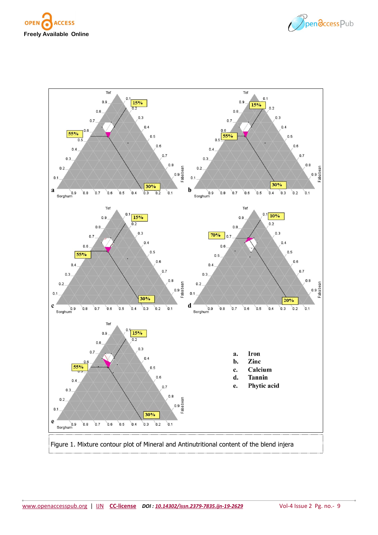



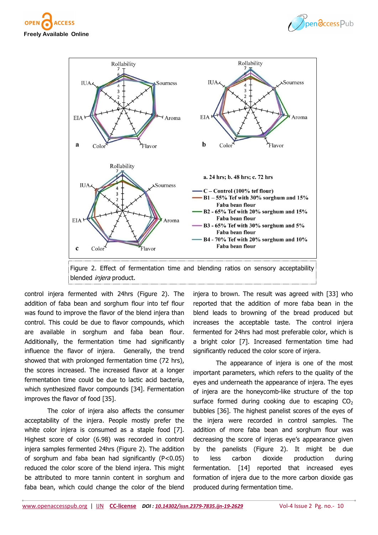





control injera fermented with 24hrs (Figure 2). The addition of faba bean and sorghum flour into tef flour was found to improve the flavor of the blend injera than control. This could be due to flavor compounds, which are available in sorghum and faba bean flour. Additionally, the fermentation time had significantly influence the flavor of injera. Generally, the trend showed that with prolonged fermentation time (72 hrs), the scores increased. The increased flavor at a longer fermentation time could be due to lactic acid bacteria, which synthesized flavor compounds [34]. Fermentation improves the flavor of food [35].

The color of injera also affects the consumer acceptability of the injera. People mostly prefer the white color injera is consumed as a staple food [7]. Highest score of color (6.98) was recorded in control injera samples fermented 24hrs (Figure 2). The addition of sorghum and faba bean had significantly (P<0.05) reduced the color score of the blend injera. This might be attributed to more tannin content in sorghum and faba bean, which could change the color of the blend

injera to brown. The result was agreed with [33] who reported that the addition of more faba bean in the blend leads to browning of the bread produced but increases the acceptable taste. The control injera fermented for 24hrs had most preferable color, which is a bright color [7]. Increased fermentation time had significantly reduced the color score of injera.

The appearance of injera is one of the most important parameters, which refers to the quality of the eyes and underneath the appearance of injera. The eyes of injera are the honeycomb-like structure of the top surface formed during cooking due to escaping  $CO<sub>2</sub>$ bubbles [36]. The highest panelist scores of the eyes of the injera were recorded in control samples. The addition of more faba bean and sorghum flour was decreasing the score of injeras eye's appearance given by the panelists (Figure 2). It might be due to less carbon dioxide production during fermentation. [14] reported that increased eyes formation of injera due to the more carbon dioxide gas produced during fermentation time.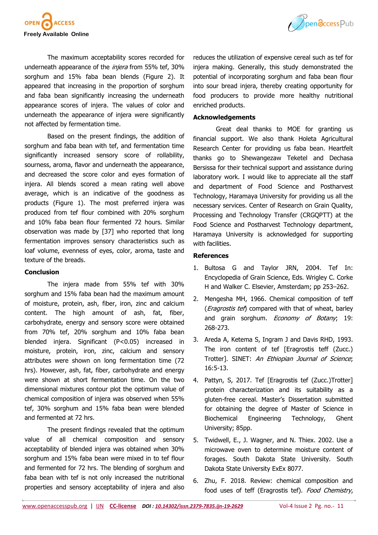



The maximum acceptability scores recorded for underneath appearance of the injera from 55% tef, 30% sorghum and 15% faba bean blends (Figure 2). It appeared that increasing in the proportion of sorghum and faba bean significantly increasing the underneath appearance scores of injera. The values of color and underneath the appearance of injera were significantly not affected by fermentation time.

Based on the present findings, the addition of sorghum and faba bean with tef, and fermentation time significantly increased sensory score of rollability, sourness, aroma, flavor and underneath the appearance, and decreased the score color and eyes formation of injera. All blends scored a mean rating well above average, which is an indicative of the goodness as products (Figure 1). The most preferred injera was produced from tef flour combined with 20% sorghum and 10% faba bean flour fermented 72 hours. Similar observation was made by [37] who reported that long fermentation improves sensory characteristics such as loaf volume, evenness of eyes, color, aroma, taste and texture of the breads.

### **Conclusion**

The injera made from 55% tef with 30% sorghum and 15% faba bean had the maximum amount of moisture, protein, ash, fiber, iron, zinc and calcium content. The high amount of ash, fat, fiber, carbohydrate, energy and sensory score were obtained from 70% tef, 20% sorghum and 10% faba bean blended injera. Significant (P<0.05) increased in moisture, protein, iron, zinc, calcium and sensory attributes were shown on long fermentation time (72 hrs). However, ash, fat, fiber, carbohydrate and energy were shown at short fermentation time. On the two dimensional mixtures contour plot the optimum value of chemical composition of injera was observed when 55% tef, 30% sorghum and 15% faba bean were blended and fermented at 72 hrs.

The present findings revealed that the optimum value of all chemical composition and sensory acceptability of blended injera was obtained when 30% sorghum and 15% faba bean were mixed in to tef flour and fermented for 72 hrs. The blending of sorghum and faba bean with tef is not only increased the nutritional properties and sensory acceptability of injera and also

reduces the utilization of expensive cereal such as tef for injera making. Generally, this study demonstrated the potential of incorporating sorghum and faba bean flour into sour bread injera, thereby creating opportunity for food producers to provide more healthy nutritional enriched products.

### **Acknowledgements**

Great deal thanks to MOE for granting us financial support. We also thank Holeta Agricultural Research Center for providing us faba bean. Heartfelt thanks go to Shewangezaw Teketel and Dechasa Bersissa for their technical support and assistance during laboratory work. I would like to appreciate all the staff and department of Food Science and Postharvest Technology, Haramaya University for providing us all the necessary services. Center of Research on Grain Quality, Processing and Technology Transfer (CRGQPTT) at the Food Science and Postharvest Technology department, Haramaya University is acknowledged for supporting with facilities.

### **References**

- 1. Bultosa G and Taylor JRN, 2004. Tef In: Encyclopedia of Grain Science, Eds. Wrigley C. Corke H and Walker C. Elsevier, Amsterdam; pp 253–262.
- 2. Mengesha MH, 1966. Chemical composition of teff (Eragrostis tef) compared with that of wheat, barley and grain sorghum. Economy of Botany, 19: 268-273.
- 3. Areda A, Ketema S, Ingram J and Davis RHD, 1993. The iron content of tef [Eragrostis teff (Zucc.) Trotter]. SINET: An Ethiopian Journal of Science; 16:5-13.
- 4. Pattyn, S, 2017. Tef [Eragrostis tef (Zucc.)Trotter] protein characterization and its suitability as a gluten-free cereal. Master's Dissertation submitted for obtaining the degree of Master of Science in Biochemical Engineering Technology, Ghent University; 85pp.
- 5. Twidwell, E., J. Wagner, and N. Thiex. 2002. Use a microwave oven to determine moisture content of forages. South Dakota State University. South Dakota State University ExEx 8077.
- 6. Zhu, F. 2018. Review: chemical composition and food uses of teff (Eragrostis tef). Food Chemistry,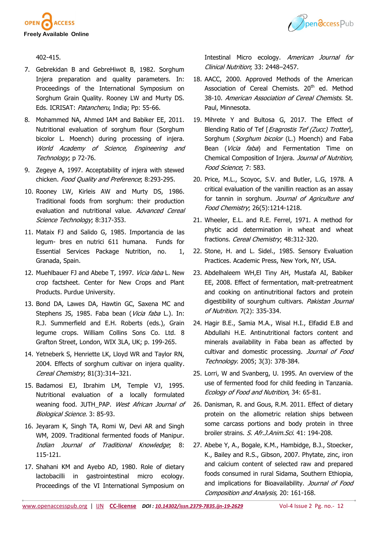



402-415.

- 7. Gebrekidan B and GebreHiwot B, 1982. Sorghum Injera preparation and quality parameters. In: Proceedings of the International Symposium on Sorghum Grain Quality. Rooney LW and Murty DS. Eds. ICRISAT: Patancheru, India; Pp: 55-66.
- 8. Mohammed NA, Ahmed IAM and Babiker EE, 2011. Nutritional evaluation of sorghum flour (Sorghum bicolor L. Moench) during processing of injera. World Academy of Science, Engineering and Technology; p 72-76.
- 9. Zegeye A, 1997. Acceptability of injera with stewed chicken. Food Quality and Preference; 8:293-295.
- 10. Rooney LW, Kirleis AW and Murty DS, 1986. Traditional foods from sorghum: their production evaluation and nutritional value. Advanced Cereal Science Technology; 8:317-353.
- 11. Mataix FJ and Salido G, 1985. Importancia de las legum- bres en nutrici 611 humana. Funds for Essential Services Package Nutrition, no. 1, Granada, Spain.
- 12. Muehlbauer FJ and Abebe T, 1997. Vicia faba L. New crop factsheet. Center for New Crops and Plant Products. Purdue University.
- 13. Bond DA, Lawes DA, Hawtin GC, Saxena MC and Stephens JS, 1985. Faba bean (Vicia faba L.). In: R.J. Summerfield and E.H. Roberts (eds.), Grain legume crops. William Collins Sons Co. Ltd. 8 Grafton Street, London, WIX 3LA, UK; p. 199-265.
- 14. Yetneberk S, Henriette LK, Lloyd WR and Taylor RN, 2004. Effects of sorghum cultivar on injera quality. Cereal Chemistry; 81(3):314–321.
- 15. Badamosi EJ, Ibrahim LM, Temple VJ, 1995. Nutritional evaluation of a locally formulated weaning food. JUTH PAP. West African Journal of Biological Science. 3: 85-93.
- 16. Jeyaram K, Singh TA, Romi W, Devi AR and Singh WM, 2009. Traditional fermented foods of Manipur. Indian Journal of Traditional Knowledge; 8: 115-121.
- 17. Shahani KM and Ayebo AD, 1980. Role of dietary lactobacilli in gastrointestinal micro ecology. Proceedings of the VI International Symposium on

Intestinal Micro ecology. American Journal for Clinical Nutrition; 33: 2448–2457.

- 18. AACC, 2000. Approved Methods of the American Association of Cereal Chemists. 20<sup>th</sup> ed. Method 38-10. American Association of Cereal Chemists. St. Paul, Minnesota.
- 19. Mihrete Y and Bultosa G, 2017. The Effect of Blending Ratio of Tef [*Eragrostis Tef (Zucc) Trotter*], Sorghum (Sorghum bicolor (L.) Moench) and Faba Bean (Vicia faba) and Fermentation Time on Chemical Composition of Injera. Journal of Nutrition, Food Science; 7: 583.
- 20. Price, M.L., Scoyoc, S.V. and Butler, L.G, 1978. A critical evaluation of the vanillin reaction as an assay for tannin in sorghum. Journal of Agriculture and Food Chemistry; 26(5):1214-1218.
- 21. Wheeler, E.L. and R.E. Ferrel, 1971. A method for phytic acid determination in wheat and wheat fractions. Cereal Chemistry; 48:312-320.
- 22. Stone, H. and L. Sidel., 1985. Sensory Evaluation Practices. Academic Press, New York, NY, USA.
- 23. Abdelhaleem WH,El Tiny AH, Mustafa AI, Babiker EE, 2008. Effect of fermentation, malt-pretreatment and cooking on antinutritional factors and protein digestibility of sourghum cultivars. Pakistan Journal of Nutrition. 7(2): 335-334.
- 24. Hagir B.E., Samia M.A., Wisal H.I., Elfadid E.B and Abdullahi H.E. Antinutritional factors content and minerals availability in Faba bean as affected by cultivar and domestic processing. Journal of Food Technology. 2005; 3(3): 378-384.
- 25. Lorri, W and Svanberg, U. 1995. An overview of the use of fermented food for child feeding in Tanzania. Ecology of Food and Nutrition, 34: 65-81.
- 26. Danisman, R. and Gous, R.M. 2011. Effect of dietary protein on the allometric relation ships between some carcass portions and body protein in three broiler strains. S. Afr.J.Anim.Sci. 41: 194-208.
- 27. Abebe Y, A., Bogale, K.M., Hambidge, B.J., Stoecker, K., Bailey and R.S., Gibson, 2007. Phytate, zinc, iron and calcium content of selected raw and prepared foods consumed in rural Sidama, Southern Ethiopia, and implications for Bioavailability. Journal of Food Composition and Analysis, 20: 161-168.